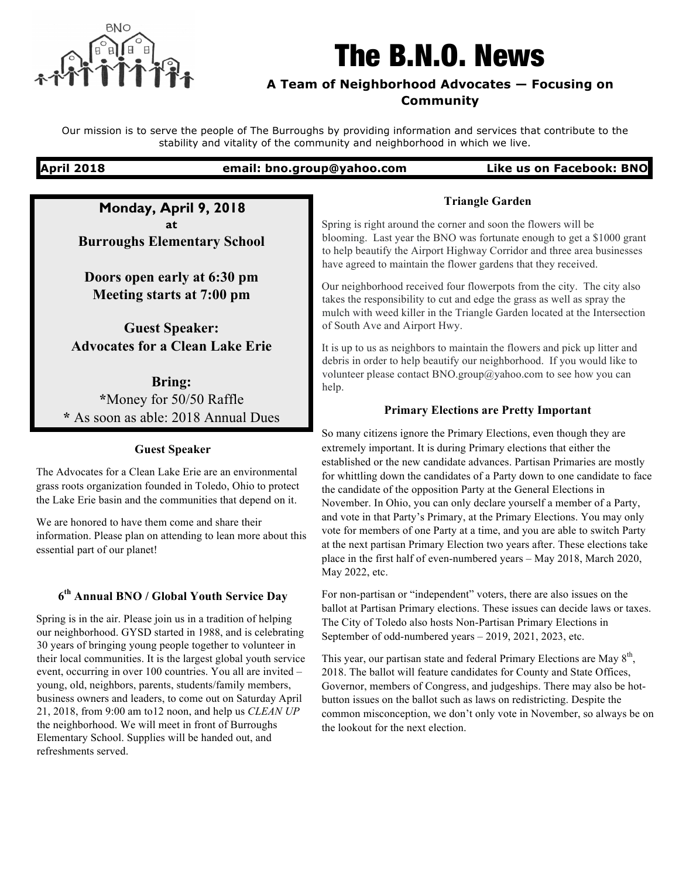

# The B.N.O. News

### **A Team of Neighborhood Advocates — Focusing on Community**

Our mission is to serve the people of The Burroughs by providing information and services that contribute to the stability and vitality of the community and neighborhood in which we live.

#### **April 2018 email: bno.group@yahoo.com Like us on Facebook: BNO**

**Monday, April 9, 2018 at Burroughs Elementary School**

**Doors open early at 6:30 pm Meeting starts at 7:00 pm**

**Guest Speaker: Advocates for a Clean Lake Erie**

**Bring: \***Money for 50/50 Raffle **\*** As soon as able: 2018 Annual Dues

#### **Guest Speaker**

The Advocates for a Clean Lake Erie are an environmental grass roots organization founded in Toledo, Ohio to protect the Lake Erie basin and the communities that depend on it.

We are honored to have them come and share their information. Please plan on attending to lean more about this essential part of our planet!

# **6th Annual BNO / Global Youth Service Day**

Spring is in the air. Please join us in a tradition of helping our neighborhood. GYSD started in 1988, and is celebrating 30 years of bringing young people together to volunteer in their local communities. It is the largest global youth service event, occurring in over 100 countries. You all are invited – young, old, neighbors, parents, students/family members, business owners and leaders, to come out on Saturday April 21, 2018, from 9:00 am to12 noon, and help us *CLEAN UP*  the neighborhood. We will meet in front of Burroughs Elementary School. Supplies will be handed out, and refreshments served.

#### **Triangle Garden**

Spring is right around the corner and soon the flowers will be blooming. Last year the BNO was fortunate enough to get a \$1000 grant to help beautify the Airport Highway Corridor and three area businesses have agreed to maintain the flower gardens that they received.

Our neighborhood received four flowerpots from the city. The city also takes the responsibility to cut and edge the grass as well as spray the mulch with weed killer in the Triangle Garden located at the Intersection of South Ave and Airport Hwy.

It is up to us as neighbors to maintain the flowers and pick up litter and debris in order to help beautify our neighborhood. If you would like to volunteer please contact BNO.group@yahoo.com to see how you can help.

#### **Primary Elections are Pretty Important**

So many citizens ignore the Primary Elections, even though they are extremely important. It is during Primary elections that either the established or the new candidate advances. Partisan Primaries are mostly for whittling down the candidates of a Party down to one candidate to face the candidate of the opposition Party at the General Elections in November. In Ohio, you can only declare yourself a member of a Party, and vote in that Party's Primary, at the Primary Elections. You may only vote for members of one Party at a time, and you are able to switch Party at the next partisan Primary Election two years after. These elections take place in the first half of even-numbered years – May 2018, March 2020, May 2022, etc.

For non-partisan or "independent" voters, there are also issues on the ballot at Partisan Primary elections. These issues can decide laws or taxes. The City of Toledo also hosts Non-Partisan Primary Elections in September of odd-numbered years – 2019, 2021, 2023, etc.

This year, our partisan state and federal Primary Elections are May  $8<sup>th</sup>$ , 2018. The ballot will feature candidates for County and State Offices, Governor, members of Congress, and judgeships. There may also be hotbutton issues on the ballot such as laws on redistricting. Despite the common misconception, we don't only vote in November, so always be on the lookout for the next election.